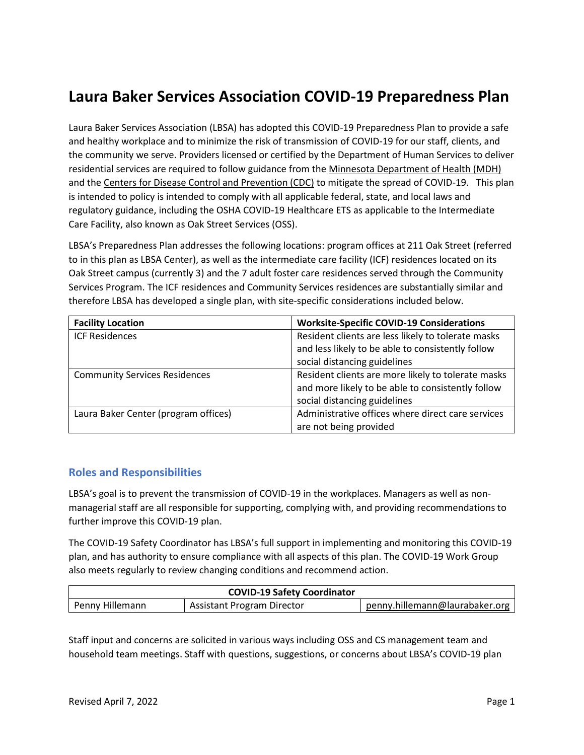# **Laura Baker Services Association COVID-19 Preparedness Plan**

Laura Baker Services Association (LBSA) has adopted this COVID-19 Preparedness Plan to provide a safe and healthy workplace and to minimize the risk of transmission of COVID-19 for our staff, clients, and the community we serve. Providers licensed or certified by the Department of Human Services to deliver residential services are required to follow guidance from th[e Minnesota Department of Health \(MDH\)](https://www.health.state.mn.us/diseases/coronavirus/index.html) and th[e Centers for Disease Control and Prevention \(CDC\)](https://www.cdc.gov/coronavirus/2019-ncov/index.html) to mitigate the spread of COVID-19. This plan is intended to policy is intended to comply with all applicable federal, state, and local laws and regulatory guidance, including the OSHA COVID-19 Healthcare ETS as applicable to the Intermediate Care Facility, also known as Oak Street Services (OSS).

LBSA's Preparedness Plan addresses the following locations: program offices at 211 Oak Street (referred to in this plan as LBSA Center), as well as the intermediate care facility (ICF) residences located on its Oak Street campus (currently 3) and the 7 adult foster care residences served through the Community Services Program. The ICF residences and Community Services residences are substantially similar and therefore LBSA has developed a single plan, with site-specific considerations included below.

| <b>Facility Location</b>             | <b>Worksite-Specific COVID-19 Considerations</b>   |  |
|--------------------------------------|----------------------------------------------------|--|
| <b>ICF Residences</b>                | Resident clients are less likely to tolerate masks |  |
|                                      | and less likely to be able to consistently follow  |  |
|                                      | social distancing guidelines                       |  |
| <b>Community Services Residences</b> | Resident clients are more likely to tolerate masks |  |
|                                      | and more likely to be able to consistently follow  |  |
|                                      | social distancing guidelines                       |  |
| Laura Baker Center (program offices) | Administrative offices where direct care services  |  |
|                                      | are not being provided                             |  |

# **Roles and Responsibilities**

LBSA's goal is to prevent the transmission of COVID-19 in the workplaces. Managers as well as nonmanagerial staff are all responsible for supporting, complying with, and providing recommendations to further improve this COVID-19 plan.

The COVID-19 Safety Coordinator has LBSA's full support in implementing and monitoring this COVID-19 plan, and has authority to ensure compliance with all aspects of this plan. The COVID-19 Work Group also meets regularly to review changing conditions and recommend action.

| <b>COVID-19 Safety Coordinator</b> |                                   |                                |  |
|------------------------------------|-----------------------------------|--------------------------------|--|
| Penny Hillemann                    | <b>Assistant Program Director</b> | penny.hillemann@laurabaker.org |  |

Staff input and concerns are solicited in various ways including OSS and CS management team and household team meetings. Staff with questions, suggestions, or concerns about LBSA's COVID-19 plan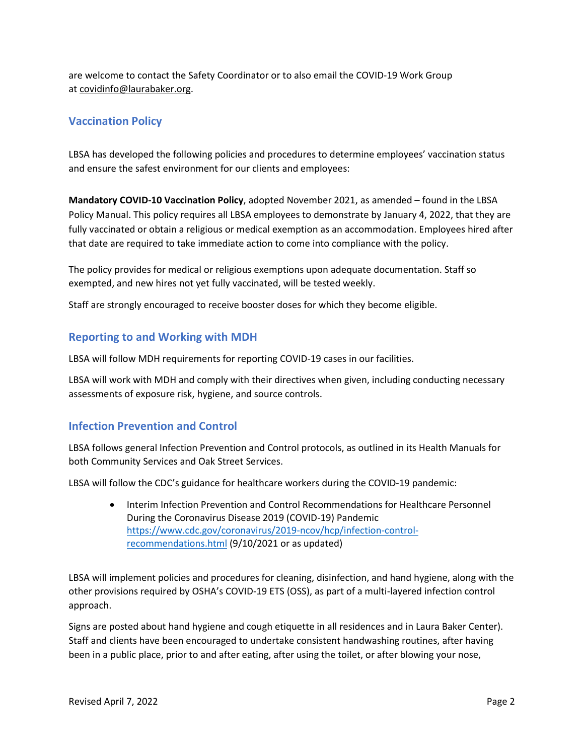are welcome to contact the Safety Coordinator or to also email the COVID-19 Work Group at [covidinfo@laurabaker.org.](mailto:covidinfo@laurabaker.org)

# **Vaccination Policy**

LBSA has developed the following policies and procedures to determine employees' vaccination status and ensure the safest environment for our clients and employees:

**Mandatory COVID-10 Vaccination Policy**, adopted November 2021, as amended – found in the LBSA Policy Manual. This policy requires all LBSA employees to demonstrate by January 4, 2022, that they are fully vaccinated or obtain a religious or medical exemption as an accommodation. Employees hired after that date are required to take immediate action to come into compliance with the policy.

The policy provides for medical or religious exemptions upon adequate documentation. Staff so exempted, and new hires not yet fully vaccinated, will be tested weekly.

Staff are strongly encouraged to receive booster doses for which they become eligible.

#### **Reporting to and Working with MDH**

LBSA will follow MDH requirements for reporting COVID-19 cases in our facilities.

LBSA will work with MDH and comply with their directives when given, including conducting necessary assessments of exposure risk, hygiene, and source controls.

# **Infection Prevention and Control**

LBSA follows general Infection Prevention and Control protocols, as outlined in its Health Manuals for both Community Services and Oak Street Services.

LBSA will follow the CDC's guidance for healthcare workers during the COVID-19 pandemic:

• Interim Infection Prevention and Control Recommendations for Healthcare Personnel During the Coronavirus Disease 2019 (COVID-19) Pandemic [https://www.cdc.gov/coronavirus/2019-ncov/hcp/infection-control](https://www.cdc.gov/coronavirus/2019-ncov/hcp/infection-control-recommendations.html)[recommendations.html](https://www.cdc.gov/coronavirus/2019-ncov/hcp/infection-control-recommendations.html) (9/10/2021 or as updated)

LBSA will implement policies and procedures for cleaning, disinfection, and hand hygiene, along with the other provisions required by OSHA's COVID-19 ETS (OSS), as part of a multi-layered infection control approach.

Signs are posted about hand hygiene and cough etiquette in all residences and in Laura Baker Center). Staff and clients have been encouraged to undertake consistent handwashing routines, after having been in a public place, prior to and after eating, after using the toilet, or after blowing your nose,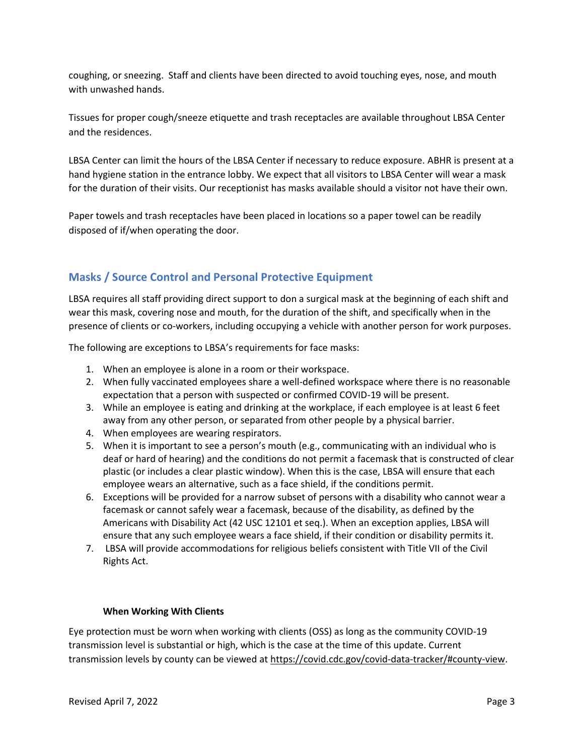coughing, or sneezing. Staff and clients have been directed to avoid touching eyes, nose, and mouth with unwashed hands.

Tissues for proper cough/sneeze etiquette and trash receptacles are available throughout LBSA Center and the residences.

LBSA Center can limit the hours of the LBSA Center if necessary to reduce exposure. ABHR is present at a hand hygiene station in the entrance lobby. We expect that all visitors to LBSA Center will wear a mask for the duration of their visits. Our receptionist has masks available should a visitor not have their own.

Paper towels and trash receptacles have been placed in locations so a paper towel can be readily disposed of if/when operating the door.

# **Masks / Source Control and Personal Protective Equipment**

LBSA requires all staff providing direct support to don a surgical mask at the beginning of each shift and wear this mask, covering nose and mouth, for the duration of the shift, and specifically when in the presence of clients or co-workers, including occupying a vehicle with another person for work purposes.

The following are exceptions to LBSA's requirements for face masks:

- 1. When an employee is alone in a room or their workspace.
- 2. When fully vaccinated employees share a well-defined workspace where there is no reasonable expectation that a person with suspected or confirmed COVID-19 will be present.
- 3. While an employee is eating and drinking at the workplace, if each employee is at least 6 feet away from any other person, or separated from other people by a physical barrier.
- 4. When employees are wearing respirators.
- 5. When it is important to see a person's mouth (e.g., communicating with an individual who is deaf or hard of hearing) and the conditions do not permit a facemask that is constructed of clear plastic (or includes a clear plastic window). When this is the case, LBSA will ensure that each employee wears an alternative, such as a face shield, if the conditions permit.
- 6. Exceptions will be provided for a narrow subset of persons with a disability who cannot wear a facemask or cannot safely wear a facemask, because of the disability, as defined by the Americans with Disability Act (42 USC 12101 et seq.). When an exception applies, LBSA will ensure that any such employee wears a face shield, if their condition or disability permits it.
- 7. LBSA will provide accommodations for religious beliefs consistent with Title VII of the Civil Rights Act.

#### **When Working With Clients**

Eye protection must be worn when working with clients (OSS) as long as the community COVID-19 transmission level is substantial or high, which is the case at the time of this update. Current transmission levels by county can be viewed a[t https://covid.cdc.gov/covid-data-tracker/#county-view.](https://covid.cdc.gov/covid-data-tracker/#county-view)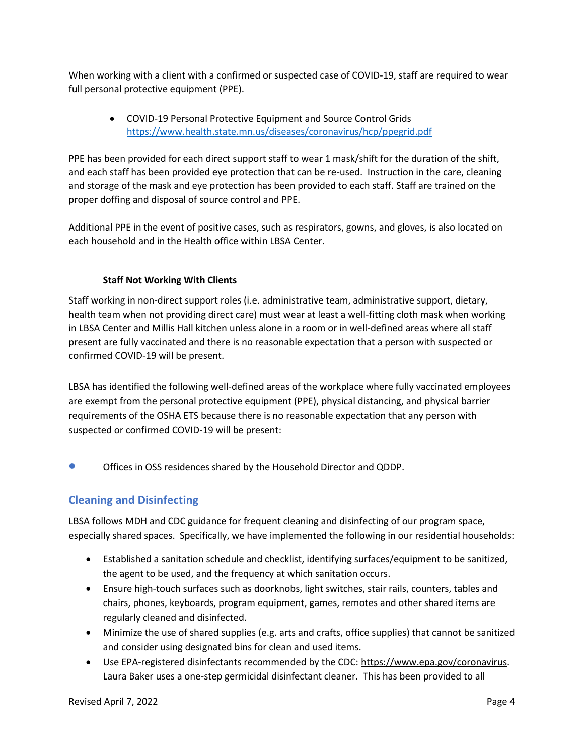When working with a client with a confirmed or suspected case of COVID-19, staff are required to wear full personal protective equipment (PPE).

• COVID-19 Personal Protective Equipment and Source Control Grids <https://www.health.state.mn.us/diseases/coronavirus/hcp/ppegrid.pdf>

PPE has been provided for each direct support staff to wear 1 mask/shift for the duration of the shift, and each staff has been provided eye protection that can be re-used. Instruction in the care, cleaning and storage of the mask and eye protection has been provided to each staff. Staff are trained on the proper doffing and disposal of source control and PPE.

Additional PPE in the event of positive cases, such as respirators, gowns, and gloves, is also located on each household and in the Health office within LBSA Center.

#### **Staff Not Working With Clients**

Staff working in non-direct support roles (i.e. administrative team, administrative support, dietary, health team when not providing direct care) must wear at least a well-fitting cloth mask when working in LBSA Center and Millis Hall kitchen unless alone in a room or in well-defined areas where all staff present are fully vaccinated and there is no reasonable expectation that a person with suspected or confirmed COVID-19 will be present.

LBSA has identified the following well-defined areas of the workplace where fully vaccinated employees are exempt from the personal protective equipment (PPE), physical distancing, and physical barrier requirements of the OSHA ETS because there is no reasonable expectation that any person with suspected or confirmed COVID-19 will be present:

• Offices in OSS residences shared by the Household Director and QDDP.

# **Cleaning and Disinfecting**

LBSA follows MDH and CDC guidance for frequent cleaning and disinfecting of our program space, especially shared spaces. Specifically, we have implemented the following in our residential households:

- Established a sanitation schedule and checklist, identifying surfaces/equipment to be sanitized, the agent to be used, and the frequency at which sanitation occurs.
- Ensure high-touch surfaces such as doorknobs, light switches, stair rails, counters, tables and chairs, phones, keyboards, program equipment, games, remotes and other shared items are regularly cleaned and disinfected.
- Minimize the use of shared supplies (e.g. arts and crafts, office supplies) that cannot be sanitized and consider using designated bins for clean and used items.
- Use EPA-registered disinfectants recommended by the CDC: [https://www.epa.gov/coronavirus.](https://www.epa.gov/coronavirus) Laura Baker uses a one-step germicidal disinfectant cleaner. This has been provided to all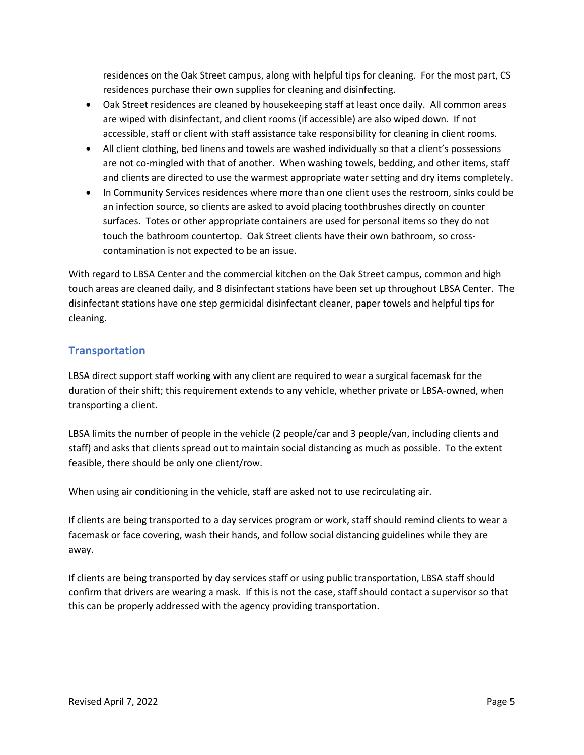residences on the Oak Street campus, along with helpful tips for cleaning. For the most part, CS residences purchase their own supplies for cleaning and disinfecting.

- Oak Street residences are cleaned by housekeeping staff at least once daily. All common areas are wiped with disinfectant, and client rooms (if accessible) are also wiped down. If not accessible, staff or client with staff assistance take responsibility for cleaning in client rooms.
- All client clothing, bed linens and towels are washed individually so that a client's possessions are not co-mingled with that of another. When washing towels, bedding, and other items, staff and clients are directed to use the warmest appropriate water setting and dry items completely.
- In Community Services residences where more than one client uses the restroom, sinks could be an infection source, so clients are asked to avoid placing toothbrushes directly on counter surfaces. Totes or other appropriate containers are used for personal items so they do not touch the bathroom countertop. Oak Street clients have their own bathroom, so crosscontamination is not expected to be an issue.

With regard to LBSA Center and the commercial kitchen on the Oak Street campus, common and high touch areas are cleaned daily, and 8 disinfectant stations have been set up throughout LBSA Center. The disinfectant stations have one step germicidal disinfectant cleaner, paper towels and helpful tips for cleaning.

# **Transportation**

LBSA direct support staff working with any client are required to wear a surgical facemask for the duration of their shift; this requirement extends to any vehicle, whether private or LBSA-owned, when transporting a client.

LBSA limits the number of people in the vehicle (2 people/car and 3 people/van, including clients and staff) and asks that clients spread out to maintain social distancing as much as possible. To the extent feasible, there should be only one client/row.

When using air conditioning in the vehicle, staff are asked not to use recirculating air.

If clients are being transported to a day services program or work, staff should remind clients to wear a facemask or face covering, wash their hands, and follow social distancing guidelines while they are away.

If clients are being transported by day services staff or using public transportation, LBSA staff should confirm that drivers are wearing a mask. If this is not the case, staff should contact a supervisor so that this can be properly addressed with the agency providing transportation.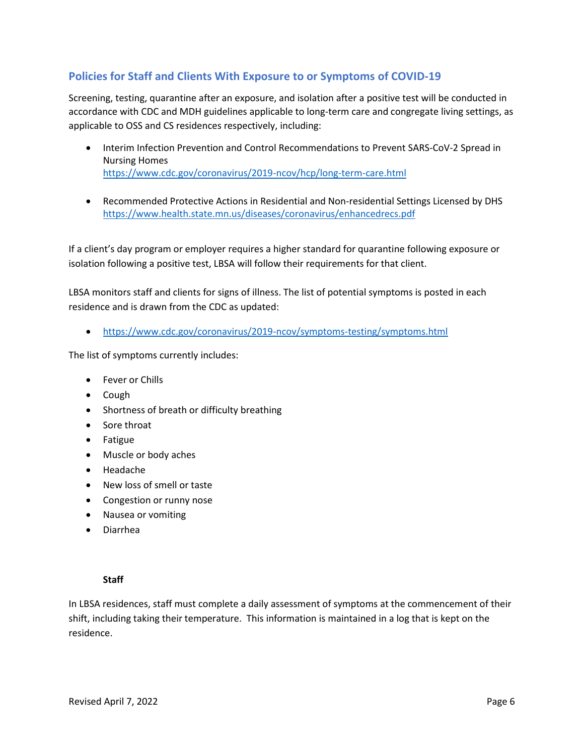# **Policies for Staff and Clients With Exposure to or Symptoms of COVID-19**

Screening, testing, quarantine after an exposure, and isolation after a positive test will be conducted in accordance with CDC and MDH guidelines applicable to long-term care and congregate living settings, as applicable to OSS and CS residences respectively, including:

- Interim Infection Prevention and Control Recommendations to Prevent SARS-CoV-2 Spread in Nursing Homes <https://www.cdc.gov/coronavirus/2019-ncov/hcp/long-term-care.html>
- Recommended Protective Actions in Residential and Non-residential Settings Licensed by DHS <https://www.health.state.mn.us/diseases/coronavirus/enhancedrecs.pdf>

If a client's day program or employer requires a higher standard for quarantine following exposure or isolation following a positive test, LBSA will follow their requirements for that client.

LBSA monitors staff and clients for signs of illness. The list of potential symptoms is posted in each residence and is drawn from the CDC as updated:

• <https://www.cdc.gov/coronavirus/2019-ncov/symptoms-testing/symptoms.html>

The list of symptoms currently includes:

- Fever or Chills
- Cough
- Shortness of breath or difficulty breathing
- Sore throat
- Fatigue
- Muscle or body aches
- Headache
- New loss of smell or taste
- Congestion or runny nose
- Nausea or vomiting
- Diarrhea

#### **Staff**

In LBSA residences, staff must complete a daily assessment of symptoms at the commencement of their shift, including taking their temperature. This information is maintained in a log that is kept on the residence.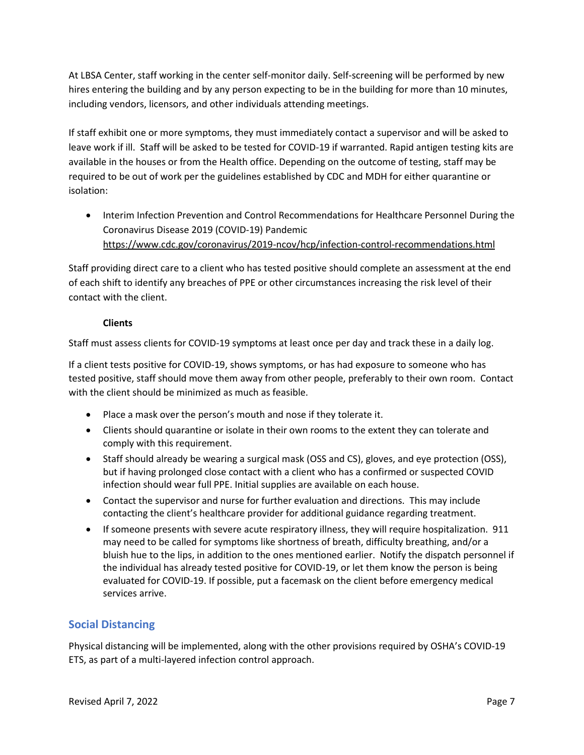At LBSA Center, staff working in the center self-monitor daily. Self-screening will be performed by new hires entering the building and by any person expecting to be in the building for more than 10 minutes, including vendors, licensors, and other individuals attending meetings.

If staff exhibit one or more symptoms, they must immediately contact a supervisor and will be asked to leave work if ill. Staff will be asked to be tested for COVID-19 if warranted. Rapid antigen testing kits are available in the houses or from the Health office. Depending on the outcome of testing, staff may be required to be out of work per the guidelines established by CDC and MDH for either quarantine or isolation:

• Interim Infection Prevention and Control Recommendations for Healthcare Personnel During the Coronavirus Disease 2019 (COVID-19) Pandemic <https://www.cdc.gov/coronavirus/2019-ncov/hcp/infection-control-recommendations.html>

Staff providing direct care to a client who has tested positive should complete an assessment at the end of each shift to identify any breaches of PPE or other circumstances increasing the risk level of their contact with the client.

#### **Clients**

Staff must assess clients for COVID-19 symptoms at least once per day and track these in a daily log.

If a client tests positive for COVID-19, shows symptoms, or has had exposure to someone who has tested positive, staff should move them away from other people, preferably to their own room. Contact with the client should be minimized as much as feasible.

- Place a mask over the person's mouth and nose if they tolerate it.
- Clients should quarantine or isolate in their own rooms to the extent they can tolerate and comply with this requirement.
- Staff should already be wearing a surgical mask (OSS and CS), gloves, and eye protection (OSS), but if having prolonged close contact with a client who has a confirmed or suspected COVID infection should wear full PPE. Initial supplies are available on each house.
- Contact the supervisor and nurse for further evaluation and directions. This may include contacting the client's healthcare provider for additional guidance regarding treatment.
- If someone presents with severe acute respiratory illness, they will require hospitalization. 911 may need to be called for symptoms like shortness of breath, difficulty breathing, and/or a bluish hue to the lips, in addition to the ones mentioned earlier. Notify the dispatch personnel if the individual has already tested positive for COVID-19, or let them know the person is being evaluated for COVID-19. If possible, put a facemask on the client before emergency medical services arrive.

# **Social Distancing**

Physical distancing will be implemented, along with the other provisions required by OSHA's COVID-19 ETS, as part of a multi-layered infection control approach.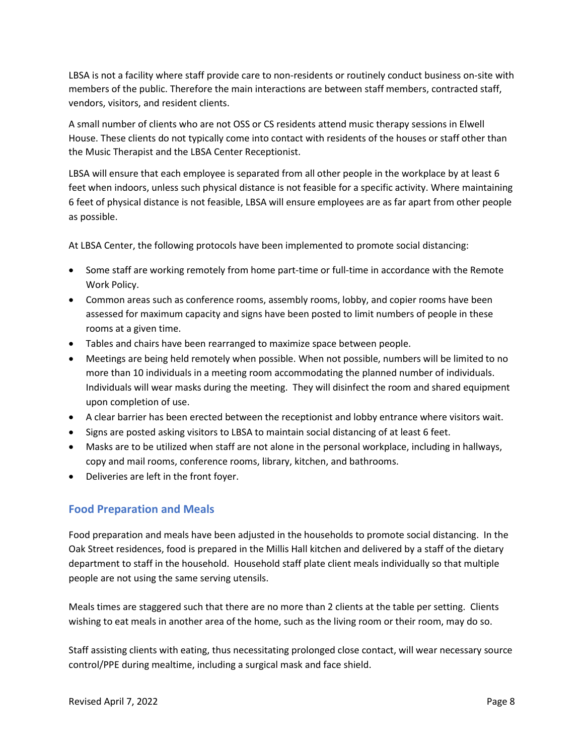LBSA is not a facility where staff provide care to non-residents or routinely conduct business on-site with members of the public. Therefore the main interactions are between staff members, contracted staff, vendors, visitors, and resident clients.

A small number of clients who are not OSS or CS residents attend music therapy sessions in Elwell House. These clients do not typically come into contact with residents of the houses or staff other than the Music Therapist and the LBSA Center Receptionist.

LBSA will ensure that each employee is separated from all other people in the workplace by at least 6 feet when indoors, unless such physical distance is not feasible for a specific activity. Where maintaining 6 feet of physical distance is not feasible, LBSA will ensure employees are as far apart from other people as possible.

At LBSA Center, the following protocols have been implemented to promote social distancing:

- Some staff are working remotely from home part-time or full-time in accordance with the Remote Work Policy.
- Common areas such as conference rooms, assembly rooms, lobby, and copier rooms have been assessed for maximum capacity and signs have been posted to limit numbers of people in these rooms at a given time.
- Tables and chairs have been rearranged to maximize space between people.
- Meetings are being held remotely when possible. When not possible, numbers will be limited to no more than 10 individuals in a meeting room accommodating the planned number of individuals. Individuals will wear masks during the meeting. They will disinfect the room and shared equipment upon completion of use.
- A clear barrier has been erected between the receptionist and lobby entrance where visitors wait.
- Signs are posted asking visitors to LBSA to maintain social distancing of at least 6 feet.
- Masks are to be utilized when staff are not alone in the personal workplace, including in hallways, copy and mail rooms, conference rooms, library, kitchen, and bathrooms.
- Deliveries are left in the front foyer.

#### **Food Preparation and Meals**

Food preparation and meals have been adjusted in the households to promote social distancing. In the Oak Street residences, food is prepared in the Millis Hall kitchen and delivered by a staff of the dietary department to staff in the household. Household staff plate client meals individually so that multiple people are not using the same serving utensils.

Meals times are staggered such that there are no more than 2 clients at the table per setting. Clients wishing to eat meals in another area of the home, such as the living room or their room, may do so.

Staff assisting clients with eating, thus necessitating prolonged close contact, will wear necessary source control/PPE during mealtime, including a surgical mask and face shield.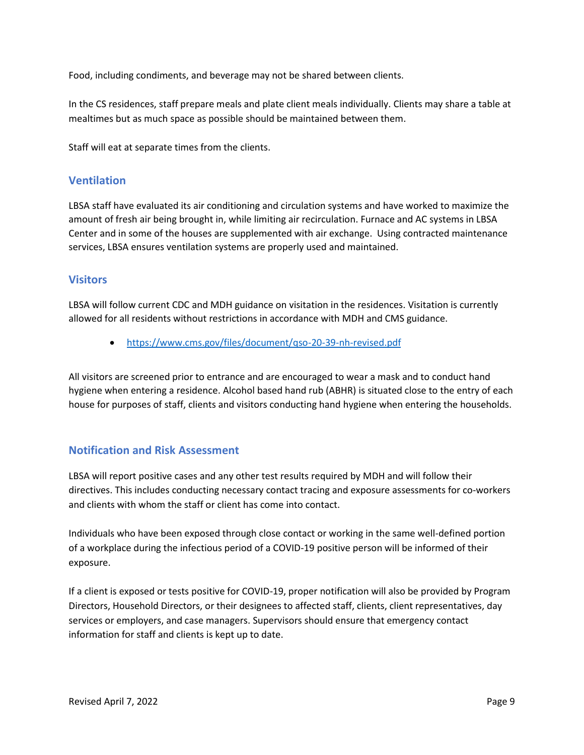Food, including condiments, and beverage may not be shared between clients.

In the CS residences, staff prepare meals and plate client meals individually. Clients may share a table at mealtimes but as much space as possible should be maintained between them.

Staff will eat at separate times from the clients.

#### **Ventilation**

LBSA staff have evaluated its air conditioning and circulation systems and have worked to maximize the amount of fresh air being brought in, while limiting air recirculation. Furnace and AC systems in LBSA Center and in some of the houses are supplemented with air exchange. Using contracted maintenance services, LBSA ensures ventilation systems are properly used and maintained.

#### **Visitors**

LBSA will follow current CDC and MDH guidance on visitation in the residences. Visitation is currently allowed for all residents without restrictions in accordance with MDH and CMS guidance.

• https://www.cms.gov/files/document/qso-20-39-nh-revised.pdf

All visitors are screened prior to entrance and are encouraged to wear a mask and to conduct hand hygiene when entering a residence. Alcohol based hand rub (ABHR) is situated close to the entry of each house for purposes of staff, clients and visitors conducting hand hygiene when entering the households.

#### **Notification and Risk Assessment**

LBSA will report positive cases and any other test results required by MDH and will follow their directives. This includes conducting necessary contact tracing and exposure assessments for co-workers and clients with whom the staff or client has come into contact.

Individuals who have been exposed through close contact or working in the same well-defined portion of a workplace during the infectious period of a COVID-19 positive person will be informed of their exposure.

If a client is exposed or tests positive for COVID-19, proper notification will also be provided by Program Directors, Household Directors, or their designees to affected staff, clients, client representatives, day services or employers, and case managers. Supervisors should ensure that emergency contact information for staff and clients is kept up to date.